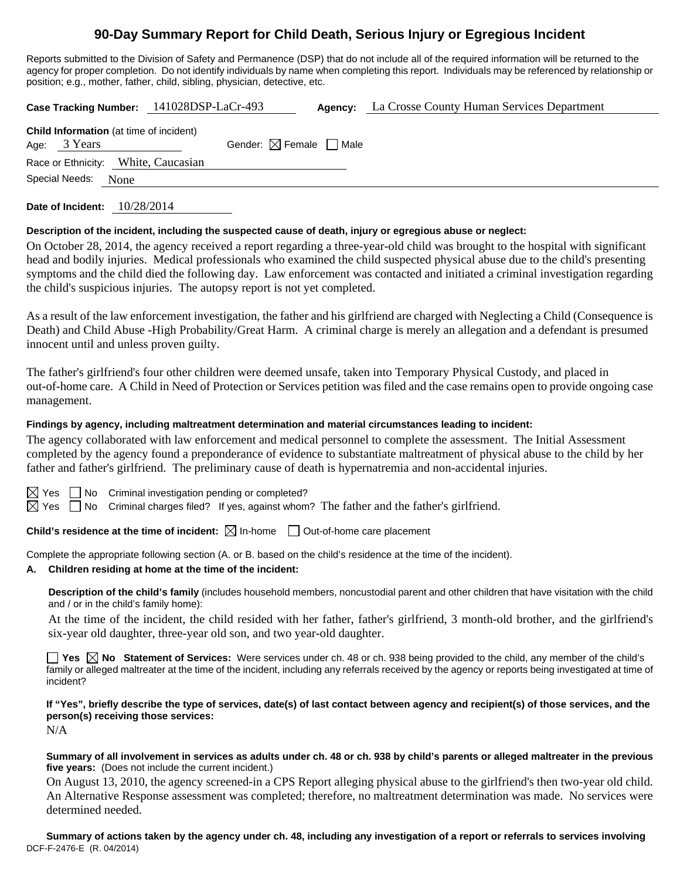# **90-Day Summary Report for Child Death, Serious Injury or Egregious Incident**

Reports submitted to the Division of Safety and Permanence (DSP) that do not include all of the required information will be returned to the agency for proper completion. Do not identify individuals by name when completing this report. Individuals may be referenced by relationship or position; e.g., mother, father, child, sibling, physician, detective, etc.

**Case Tracking Number:** 141028DSP-LaCr-493 **Agency:** La Crosse County Human Services Department **Child Information** (at time of incident) Age:  $3$  Years Gender:  $\boxtimes$  Female  $\Box$  Male Race or Ethnicity: White, Caucasian

Special Needs: None

**Date of Incident:** 10/28/2014

## **Description of the incident, including the suspected cause of death, injury or egregious abuse or neglect:**

On October 28, 2014, the agency received a report regarding a three-year-old child was brought to the hospital with significant head and bodily injuries. Medical professionals who examined the child suspected physical abuse due to the child's presenting symptoms and the child died the following day. Law enforcement was contacted and initiated a criminal investigation regarding the child's suspicious injuries. The autopsy report is not yet completed.

As a result of the law enforcement investigation, the father and his girlfriend are charged with Neglecting a Child (Consequence is Death) and Child Abuse -High Probability/Great Harm. A criminal charge is merely an allegation and a defendant is presumed innocent until and unless proven guilty.

The father's girlfriend's four other children were deemed unsafe, taken into Temporary Physical Custody, and placed in out-of-home care. A Child in Need of Protection or Services petition was filed and the case remains open to provide ongoing case management.

## **Findings by agency, including maltreatment determination and material circumstances leading to incident:**

The agency collaborated with law enforcement and medical personnel to complete the assessment. The Initial Assessment completed by the agency found a preponderance of evidence to substantiate maltreatment of physical abuse to the child by her father and father's girlfriend. The preliminary cause of death is hypernatremia and non-accidental injuries.

 $\boxtimes$  Yes  $\Box$  No Criminal investigation pending or completed?

 $\boxtimes$  Yes  $\Box$  No Criminal charges filed? If yes, against whom? The father and the father's girlfriend.

**Child's residence at the time of incident:** ⊠ In-home □ Out-of-home care placement

Complete the appropriate following section (A. or B. based on the child's residence at the time of the incident).

## **A. Children residing at home at the time of the incident:**

**Description of the child's family** (includes household members, noncustodial parent and other children that have visitation with the child and / or in the child's family home):

 At the time of the incident, the child resided with her father, father's girlfriend, 3 month-old brother, and the girlfriend's six-year old daughter, three-year old son, and two year-old daughter.

■ Yes △ No Statement of Services: Were services under ch. 48 or ch. 938 being provided to the child, any member of the child's family or alleged maltreater at the time of the incident, including any referrals received by the agency or reports being investigated at time of incident?

**If "Yes", briefly describe the type of services, date(s) of last contact between agency and recipient(s) of those services, and the person(s) receiving those services:** 

N/A

**Summary of all involvement in services as adults under ch. 48 or ch. 938 by child's parents or alleged maltreater in the previous five years:** (Does not include the current incident.)

On August 13, 2010, the agency screened-in a CPS Report alleging physical abuse to the girlfriend's then two-year old child. An Alternative Response assessment was completed; therefore, no maltreatment determination was made. No services were determined needed.

DCF-F-2476-E (R. 04/2014) **Summary of actions taken by the agency under ch. 48, including any investigation of a report or referrals to services involving**